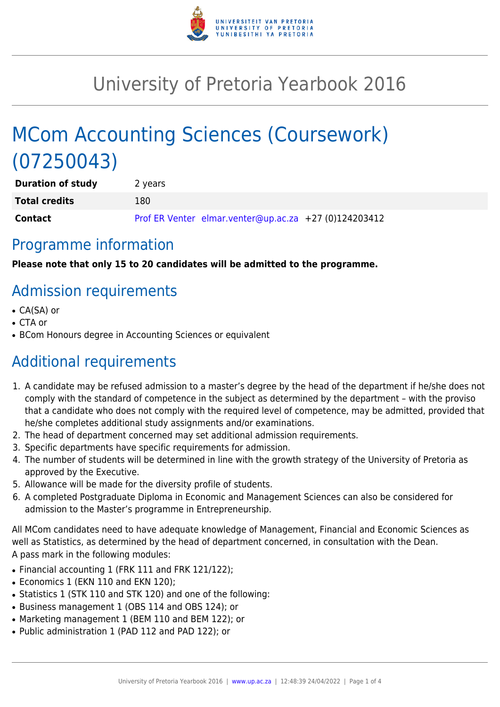

# University of Pretoria Yearbook 2016

# MCom Accounting Sciences (Coursework) (07250043)

| <b>Duration of study</b> | 2 years |                                                       |  |
|--------------------------|---------|-------------------------------------------------------|--|
| <b>Total credits</b>     | 180     |                                                       |  |
| Contact                  |         | Prof ER Venter elmar.venter@up.ac.za +27 (0)124203412 |  |

### Programme information

**Please note that only 15 to 20 candidates will be admitted to the programme.**

# Admission requirements

- CA(SA) or
- CTA or
- BCom Honours degree in Accounting Sciences or equivalent

# Additional requirements

- 1. A candidate may be refused admission to a master's degree by the head of the department if he/she does not comply with the standard of competence in the subject as determined by the department – with the proviso that a candidate who does not comply with the required level of competence, may be admitted, provided that he/she completes additional study assignments and/or examinations.
- 2. The head of department concerned may set additional admission requirements.
- 3. Specific departments have specific requirements for admission.
- 4. The number of students will be determined in line with the growth strategy of the University of Pretoria as approved by the Executive.
- 5. Allowance will be made for the diversity profile of students.
- 6. A completed Postgraduate Diploma in Economic and Management Sciences can also be considered for admission to the Master's programme in Entrepreneurship.

All MCom candidates need to have adequate knowledge of Management, Financial and Economic Sciences as well as Statistics, as determined by the head of department concerned, in consultation with the Dean. A pass mark in the following modules:

- Financial accounting 1 (FRK 111 and FRK 121/122);
- Economics 1 (EKN 110 and EKN 120);
- Statistics 1 (STK 110 and STK 120) and one of the following:
- Business management 1 (OBS 114 and OBS 124); or
- Marketing management 1 (BEM 110 and BEM 122); or
- Public administration 1 (PAD 112 and PAD 122); or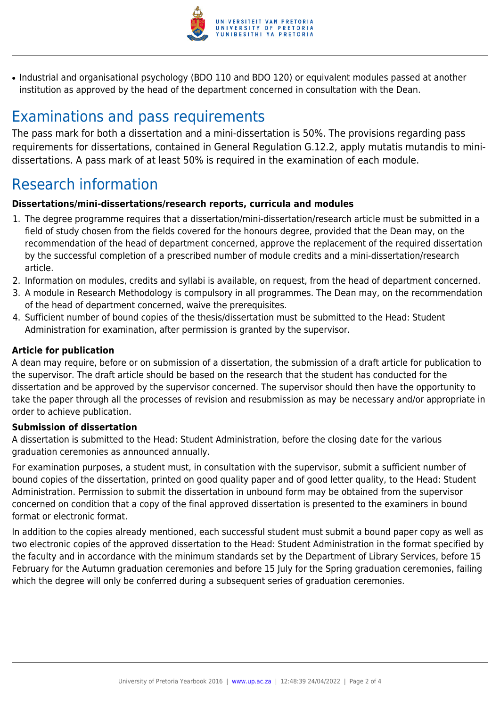

• Industrial and organisational psychology (BDO 110 and BDO 120) or equivalent modules passed at another institution as approved by the head of the department concerned in consultation with the Dean.

### Examinations and pass requirements

The pass mark for both a dissertation and a mini-dissertation is 50%. The provisions regarding pass requirements for dissertations, contained in General Regulation G.12.2, apply mutatis mutandis to minidissertations. A pass mark of at least 50% is required in the examination of each module.

## Research information

#### **Dissertations/mini-dissertations/research reports, curricula and modules**

- 1. The degree programme requires that a dissertation/mini-dissertation/research article must be submitted in a field of study chosen from the fields covered for the honours degree, provided that the Dean may, on the recommendation of the head of department concerned, approve the replacement of the required dissertation by the successful completion of a prescribed number of module credits and a mini-dissertation/research article.
- 2. Information on modules, credits and syllabi is available, on request, from the head of department concerned.
- 3. A module in Research Methodology is compulsory in all programmes. The Dean may, on the recommendation of the head of department concerned, waive the prerequisites.
- 4. Sufficient number of bound copies of the thesis/dissertation must be submitted to the Head: Student Administration for examination, after permission is granted by the supervisor.

#### **Article for publication**

A dean may require, before or on submission of a dissertation, the submission of a draft article for publication to the supervisor. The draft article should be based on the research that the student has conducted for the dissertation and be approved by the supervisor concerned. The supervisor should then have the opportunity to take the paper through all the processes of revision and resubmission as may be necessary and/or appropriate in order to achieve publication.

#### **Submission of dissertation**

A dissertation is submitted to the Head: Student Administration, before the closing date for the various graduation ceremonies as announced annually.

For examination purposes, a student must, in consultation with the supervisor, submit a sufficient number of bound copies of the dissertation, printed on good quality paper and of good letter quality, to the Head: Student Administration. Permission to submit the dissertation in unbound form may be obtained from the supervisor concerned on condition that a copy of the final approved dissertation is presented to the examiners in bound format or electronic format.

In addition to the copies already mentioned, each successful student must submit a bound paper copy as well as two electronic copies of the approved dissertation to the Head: Student Administration in the format specified by the faculty and in accordance with the minimum standards set by the Department of Library Services, before 15 February for the Autumn graduation ceremonies and before 15 July for the Spring graduation ceremonies, failing which the degree will only be conferred during a subsequent series of graduation ceremonies.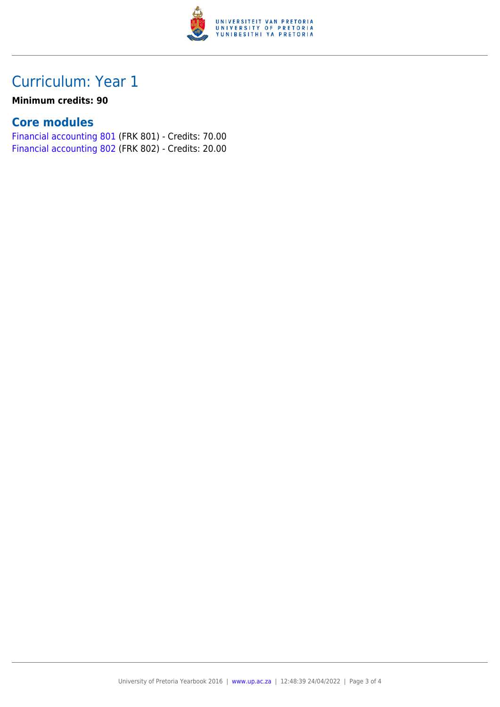

## Curriculum: Year 1

### **Minimum credits: 90**

### **Core modules**

[Financial accounting 801](https://www.up.ac.za/yearbooks/2016/modules/view/FRK 801) (FRK 801) - Credits: 70.00 [Financial accounting 802](https://www.up.ac.za/yearbooks/2016/modules/view/FRK 802) (FRK 802) - Credits: 20.00